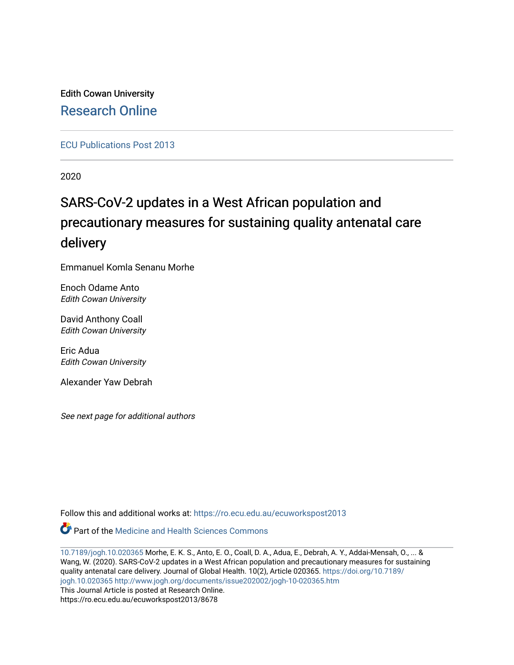Edith Cowan University [Research Online](https://ro.ecu.edu.au/) 

[ECU Publications Post 2013](https://ro.ecu.edu.au/ecuworkspost2013)

2020

## SARS-CoV-2 updates in a West African population and precautionary measures for sustaining quality antenatal care delivery

Emmanuel Komla Senanu Morhe

Enoch Odame Anto Edith Cowan University

David Anthony Coall Edith Cowan University

Eric Adua Edith Cowan University

Alexander Yaw Debrah

See next page for additional authors

Follow this and additional works at: [https://ro.ecu.edu.au/ecuworkspost2013](https://ro.ecu.edu.au/ecuworkspost2013?utm_source=ro.ecu.edu.au%2Fecuworkspost2013%2F8678&utm_medium=PDF&utm_campaign=PDFCoverPages) 

**C** Part of the Medicine and Health Sciences Commons

[10.7189/jogh.10.020365](http://dx.doi.org/10.7189/jogh.10.020365) Morhe, E. K. S., Anto, E. O., Coall, D. A., Adua, E., Debrah, A. Y., Addai-Mensah, O., ... & Wang, W. (2020). SARS-CoV-2 updates in a West African population and precautionary measures for sustaining quality antenatal care delivery. Journal of Global Health. 10(2), Article 020365. [https://doi.org/10.7189/](https://doi.org/10.7189/jogh.10.020365) [jogh.10.020365](https://doi.org/10.7189/jogh.10.020365) <http://www.jogh.org/documents/issue202002/jogh-10-020365.htm> This Journal Article is posted at Research Online. https://ro.ecu.edu.au/ecuworkspost2013/8678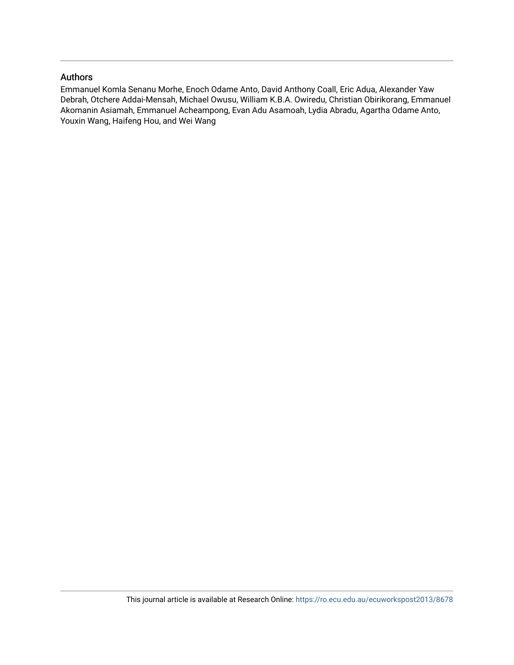#### Authors

Emmanuel Komla Senanu Morhe, Enoch Odame Anto, David Anthony Coall, Eric Adua, Alexander Yaw Debrah, Otchere Addai-Mensah, Michael Owusu, William K.B.A. Owiredu, Christian Obirikorang, Emmanuel Akomanin Asiamah, Emmanuel Acheampong, Evan Adu Asamoah, Lydia Abradu, Agartha Odame Anto, Youxin Wang, Haifeng Hou, and Wei Wang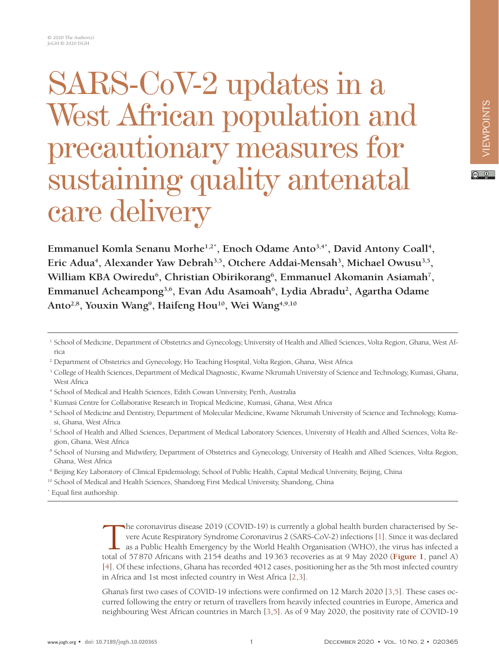# SARS-CoV-2 updates in a West African population and precautionary measures for sustaining quality antenatal care delivery

 $\odot$   $\odot$ 

Emmanuel Komla Senanu Morhe<sup>1,2\*</sup>, Enoch Odame Anto<sup>3,4\*</sup>, David Antony Coall<sup>4</sup>, Eric Adua<sup>4</sup>, Alexander Yaw Debrah<sup>3,5</sup>, Otchere Addai-Mensah<sup>3</sup>, Michael Owusu<sup>3,5</sup>, William KBA Owiredu<sup>6</sup>, Christian Obirikorang<sup>6</sup>, Emmanuel Akomanin Asiamah<sup>7</sup>, Emmanuel Acheampong<sup>3,6</sup>, Evan Adu Asamoah<sup>6</sup>, Lydia Abradu<sup>2</sup>, Agartha Odame **Anto2,8, Youxin Wang9 , Haifeng Hou10, Wei Wang4,9,10**

<sup>4</sup> School of Medical and Health Sciences, Edith Cowan University, Perth, Australia

- 5 Kumasi Centre for Collaborative Research in Tropical Medicine, Kumasi, Ghana, West Africa
- <sup>6</sup> School of Medicine and Dentistry, Department of Molecular Medicine, Kwame Nkrumah University of Science and Technology, Kumasi, Ghana, West Africa
- <sup>7</sup> School of Health and Allied Sciences, Department of Medical Laboratory Sciences, University of Health and Allied Sciences, Volta Region, Ghana, West Africa
- <sup>8</sup> School of Nursing and Midwifery, Department of Obstetrics and Gynecology, University of Health and Allied Sciences, Volta Region, Ghana, West Africa
- <sup>9</sup> Beijing Key Laboratory of Clinical Epidemiology, School of Public Health, Capital Medical University, Beijing, China
- <sup>10</sup> School of Medical and Health Sciences, Shandong First Medical University, Shandong, China

\* Equal first authorship.

The coronavirus disease 2019 (COVID-19) is currently a global health burden characterised by Severe Acute Respiratory Syndrome Coronavirus 2 (SARS-CoV-2) infections [1]. Since it was declared as a Public Health Emergency by the World Health Organisation (WHO), the virus has infected a total of 57870 Africans with 2154 deaths and 19363 recoveries as at 9 May 2020 (**[Figure 1](#page-3-0)**, panel A) [\[4\]](#page-5-1). Of these infections, Ghana has recorded 4012 cases, positioning her as the 5th most infected country in Africa and 1st most infected country in West Africa [\[2,](#page-5-2)[3\]](#page-5-3).

Ghana's first two cases of COVID-19 infections were confirmed on 12 March 2020 [\[3](#page-5-3)[,5](#page-5-4)]. These cases occurred following the entry or return of travellers from heavily infected countries in Europe, America and neighbouring West African countries in March [[3](#page-5-3),[5](#page-5-4)]. As of 9 May 2020, the positivity rate of COVID-19

<sup>&</sup>lt;sup>1</sup> School of Medicine, Department of Obstetrics and Gynecology, University of Health and Allied Sciences, Volta Region, Ghana, West Africa

 <sup>2</sup> Department of Obstetrics and Gynecology, Ho Teaching Hospital, Volta Region, Ghana, West Africa

<sup>&</sup>lt;sup>3</sup> College of Health Sciences, Department of Medical Diagnostic, Kwame Nkrumah University of Science and Technology, Kumasi, Ghana, West Africa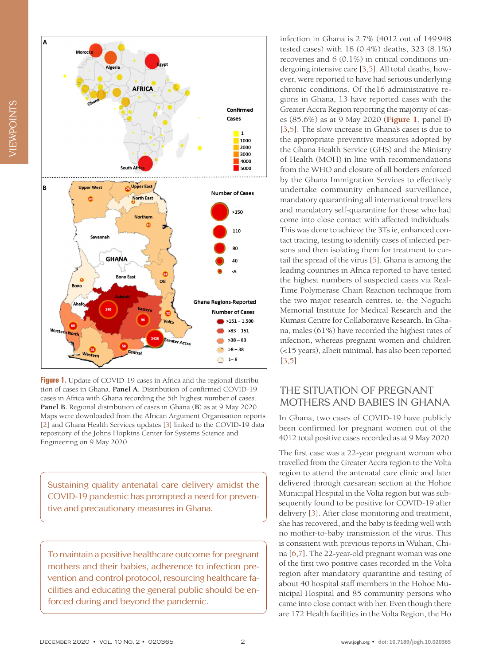

<span id="page-3-0"></span>

Figure 1. Update of COVID-19 cases in Africa and the regional distribution of cases in Ghana. **Panel A.** Distribution of confirmed COVID-19 cases in Africa with Ghana recording the 5th highest number of cases. **Panel B.** Regional distribution of cases in Ghana (**B**) as at 9 May 2020. Maps were downloaded from the African Argument Organisation reports [\[2](#page-5-2)] and Ghana Health Services updates [[3](#page-5-3)] linked to the COVID-19 data repository of the Johns Hopkins Center for Systems Science and Engineering on 9 May 2020.

Sustaining quality antenatal care delivery amidst the COVID-19 pandemic has prompted a need for preventive and precautionary measures in Ghana.

To maintain a positive healthcare outcome for pregnant mothers and their babies, adherence to infection prevention and control protocol, resourcing healthcare facilities and educating the general public should be enforced during and beyond the pandemic.

infection in Ghana is 2.7% (4012 out of 149948 tested cases) with 18 (0.4%) deaths, 323 (8.1%) recoveries and 6 (0.1%) in critical conditions undergoing intensive care [\[3](#page-5-3)[,5](#page-5-4)]. All total deaths, however, were reported to have had serious underlying chronic conditions. Of the16 administrative regions in Ghana, 13 have reported cases with the Greater Accra Region reporting the majority of cases (85.6%) as at 9 May 2020 (**[Figure 1](#page-3-0)**, panel B) [[3](#page-5-3),[5](#page-5-4)]. The slow increase in Ghana's cases is due to the appropriate preventive measures adopted by the Ghana Health Service (GHS) and the Ministry of Health (MOH) in line with recommendations from the WHO and closure of all borders enforced by the Ghana Immigration Services to effectively undertake community enhanced surveillance, mandatory quarantining all international travellers and mandatory self-quarantine for those who had come into close contact with affected individuals. This was done to achieve the 3Ts ie, enhanced contact tracing, testing to identify cases of infected persons and then isolating them for treatment to curtail the spread of the virus [\[5\]](#page-5-4). Ghana is among the leading countries in Africa reported to have tested the highest numbers of suspected cases via Real-Time Polymerase Chain Reaction technique from the two major research centres, ie, the Noguchi Memorial Institute for Medical Research and the Kumasi Centre for Collaborative Research. In Ghana, males (61%) have recorded the highest rates of infection, whereas pregnant women and children (<15 years), albeit minimal, has also been reported [[3](#page-5-3),[5](#page-5-4)].

### THE SITUATION OF PREGNANT MOTHERS AND BABIES IN GHANA

In Ghana, two cases of COVID-19 have publicly been confirmed for pregnant women out of the 4012 total positive cases recorded as at 9 May 2020.

The first case was a 22-year pregnant woman who travelled from the Greater Accra region to the Volta region to attend the antenatal care clinic and later delivered through caesarean section at the Hohoe Municipal Hospital in the Volta region but was subsequently found to be positive for COVID-19 after delivery [\[3\]](#page-5-3). After close monitoring and treatment, she has recovered, and the baby is feeding well with no mother-to-baby transmission of the virus. This is consistent with previous reports in Wuhan, China [\[6](#page-5-5)[,7](#page-6-0)]. The 22-year-old pregnant woman was one of the first two positive cases recorded in the Volta region after mandatory quarantine and testing of about 40 hospital staff members in the Hohoe Municipal Hospital and 85 community persons who came into close contact with her. Even though there are 172 Health facilities in the Volta Region, the Ho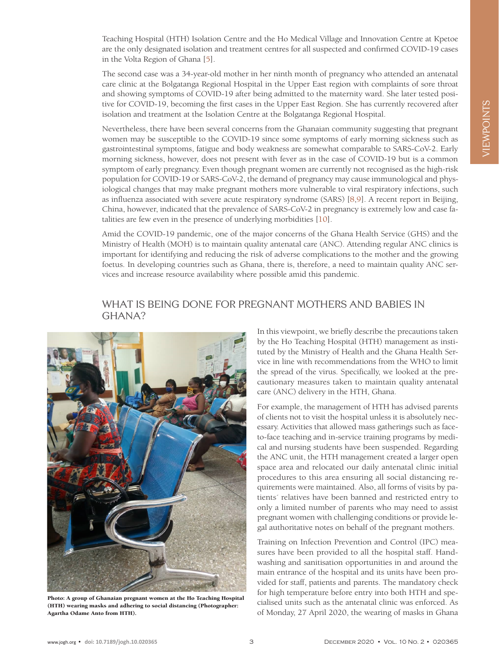Teaching Hospital (HTH) Isolation Centre and the Ho Medical Village and Innovation Centre at Kpetoe are the only designated isolation and treatment centres for all suspected and confirmed COVID-19 cases in the Volta Region of Ghana [[5\]](#page-5-4).

The second case was a 34-year-old mother in her ninth month of pregnancy who attended an antenatal care clinic at the Bolgatanga Regional Hospital in the Upper East region with complaints of sore throat and showing symptoms of COVID-19 after being admitted to the maternity ward. She later tested positive for COVID-19, becoming the first cases in the Upper East Region. She has currently recovered after isolation and treatment at the Isolation Centre at the Bolgatanga Regional Hospital.

Nevertheless, there have been several concerns from the Ghanaian community suggesting that pregnant women may be susceptible to the COVID-19 since some symptoms of early morning sickness such as gastrointestinal symptoms, fatigue and body weakness are somewhat comparable to SARS-CoV-2. Early morning sickness, however, does not present with fever as in the case of COVID-19 but is a common symptom of early pregnancy. Even though pregnant women are currently not recognised as the high-risk population for COVID-19 or SARS-CoV-2, the demand of pregnancy may cause immunological and physiological changes that may make pregnant mothers more vulnerable to viral respiratory infections, such as influenza associated with severe acute respiratory syndrome (SARS) [[8](#page-6-1),[9](#page-6-2)]. A recent report in Beijing, China, however, indicated that the prevalence of SARS-CoV-2 in pregnancy is extremely low and case fatalities are few even in the presence of underlying morbidities [\[10\]](#page-6-3).

Amid the COVID-19 pandemic, one of the major concerns of the Ghana Health Service (GHS) and the Ministry of Health (MOH) is to maintain quality antenatal care (ANC). Attending regular ANC clinics is important for identifying and reducing the risk of adverse complications to the mother and the growing foetus. In developing countries such as Ghana, there is, therefore, a need to maintain quality ANC services and increase resource availability where possible amid this pandemic.

#### WHAT IS BEING DONE FOR PREGNANT MOTHERS AND BABIES IN GHANA?



Photo: A group of Ghanaian pregnant women at the Ho Teaching Hospital (HTH) wearing masks and adhering to social distancing (Photographer: Agartha Odame Anto from HTH).

In this viewpoint, we briefly describe the precautions taken by the Ho Teaching Hospital (HTH) management as instituted by the Ministry of Health and the Ghana Health Service in line with recommendations from the WHO to limit the spread of the virus. Specifically, we looked at the precautionary measures taken to maintain quality antenatal care (ANC) delivery in the HTH, Ghana.

For example, the management of HTH has advised parents of clients not to visit the hospital unless it is absolutely necessary. Activities that allowed mass gatherings such as faceto-face teaching and in-service training programs by medical and nursing students have been suspended. Regarding the ANC unit, the HTH management created a larger open space area and relocated our daily antenatal clinic initial procedures to this area ensuring all social distancing requirements were maintained. Also, all forms of visits by patients´ relatives have been banned and restricted entry to only a limited number of parents who may need to assist pregnant women with challenging conditions or provide legal authoritative notes on behalf of the pregnant mothers.

Training on Infection Prevention and Control (IPC) measures have been provided to all the hospital staff. Handwashing and sanitisation opportunities in and around the main entrance of the hospital and its units have been provided for staff, patients and parents. The mandatory check for high temperature before entry into both HTH and specialised units such as the antenatal clinic was enforced. As of Monday, 27 April 2020, the wearing of masks in Ghana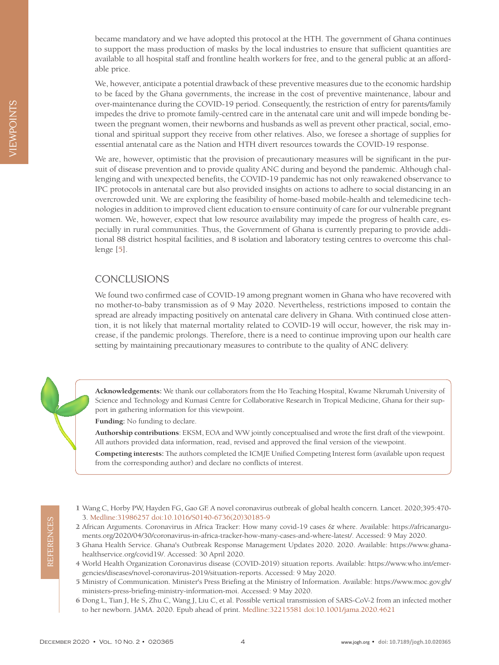became mandatory and we have adopted this protocol at the HTH. The government of Ghana continues to support the mass production of masks by the local industries to ensure that sufficient quantities are available to all hospital staff and frontline health workers for free, and to the general public at an affordable price.

We, however, anticipate a potential drawback of these preventive measures due to the economic hardship to be faced by the Ghana governments, the increase in the cost of preventive maintenance, labour and over-maintenance during the COVID-19 period. Consequently, the restriction of entry for parents/family impedes the drive to promote family-centred care in the antenatal care unit and will impede bonding between the pregnant women, their newborns and husbands as well as prevent other practical, social, emotional and spiritual support they receive from other relatives. Also, we foresee a shortage of supplies for essential antenatal care as the Nation and HTH divert resources towards the COVID-19 response.

We are, however, optimistic that the provision of precautionary measures will be significant in the pursuit of disease prevention and to provide quality ANC during and beyond the pandemic. Although challenging and with unexpected benefits, the COVID-19 pandemic has not only reawakened observance to IPC protocols in antenatal care but also provided insights on actions to adhere to social distancing in an overcrowded unit. We are exploring the feasibility of home-based mobile-health and telemedicine technologies in addition to improved client education to ensure continuity of care for our vulnerable pregnant women. We, however, expect that low resource availability may impede the progress of health care, especially in rural communities. Thus, the Government of Ghana is currently preparing to provide additional 88 district hospital facilities, and 8 isolation and laboratory testing centres to overcome this challenge [\[5](#page-5-4)].

#### **CONCLUSIONS**

We found two confirmed case of COVID-19 among pregnant women in Ghana who have recovered with no mother-to-baby transmission as of 9 May 2020. Nevertheless, restrictions imposed to contain the spread are already impacting positively on antenatal care delivery in Ghana. With continued close attention, it is not likely that maternal mortality related to COVID-19 will occur, however, the risk may increase, if the pandemic prolongs. Therefore, there is a need to continue improving upon our health care setting by maintaining precautionary measures to contribute to the quality of ANC delivery.

**Acknowledgements:** We thank our collaborators from the Ho Teaching Hospital, Kwame Nkrumah University of Science and Technology and Kumasi Centre for Collaborative Research in Tropical Medicine, Ghana for their support in gathering information for this viewpoint.

**Funding:** No funding to declare.

**Authorship contributions**: EKSM, EOA and WW jointly conceptualised and wrote the first draft of the viewpoint. All authors provided data information, read, revised and approved the final version of the viewpoint.

**Competing interests:** The authors completed the ICMJE Unified Competing Interest form (available upon request from the corresponding author) and declare no conflicts of interest.

- <span id="page-5-0"></span> 1 Wang C, Horby PW, Hayden FG, Gao GF. A novel coronavirus outbreak of global health concern. Lancet. 2020;395:470- 3. [Medline:31986257](https://www.ncbi.nlm.nih.gov/entrez/query.fcgi?cmd=Retrieve&db=PubMed&list_uids=31986257&dopt=Abstract) [doi:10.1016/S0140-6736\(20\)30185-9](https://doi.org/10.1016/S0140-6736(20)30185-9)
- <span id="page-5-2"></span> 2 African Arguments. Coronavirus in Africa Tracker: How many covid-19 cases & where. Available: [https://africanargu](https://africanarguments.org/2020/04/30/coronavirus-in-africa-tracker-how-many-cases-and-where-latest/)[ments.org/2020/04/30/coronavirus-in-africa-tracker-how-many-cases-and-where-latest/](https://africanarguments.org/2020/04/30/coronavirus-in-africa-tracker-how-many-cases-and-where-latest/). Accessed: 9 May 2020.
- <span id="page-5-3"></span> 3 Ghana Health Service. Ghana's Outbreak Response Management Updates 2020. 2020. Available: [https://www.ghana](https://www.ghanahealthservice.org/covid19/)[healthservice.org/covid19/](https://www.ghanahealthservice.org/covid19/). Accessed: 30 April 2020.
- <span id="page-5-1"></span> 4 World Health Organization Coronavirus disease (COVID-2019) situation reports. Available: [https://www.who.int/emer](https://www.who.int/emergencies/diseases/novel-coronavirus-2019/situation-reports)[gencies/diseases/novel-coronavirus-2019/situation-reports.](https://www.who.int/emergencies/diseases/novel-coronavirus-2019/situation-reports) Accessed: 9 May 2020.
- <span id="page-5-4"></span> 5 Ministry of Communication. Minister's Press Briefing at the Ministry of Information. Available: [https://www.moc.gov.gh/](https://www.moc.gov.gh/ministers-press-briefing-ministry-information-moi) [ministers-press-briefing-ministry-information-moi](https://www.moc.gov.gh/ministers-press-briefing-ministry-information-moi). Accessed: 9 May 2020.
- <span id="page-5-5"></span> 6 Dong L, Tian J, He S, Zhu C, Wang J, Liu C, et al. Possible vertical transmission of SARS-CoV-2 from an infected mother to her newborn. JAMA. 2020. Epub ahead of print. [Medline:32215581](https://www.ncbi.nlm.nih.gov/entrez/query.fcgi?cmd=Retrieve&db=PubMed&list_uids=32215581&dopt=Abstract) [doi:10.1001/jama.2020.4621](https://doi.org/10.1001/jama.2020.4621)